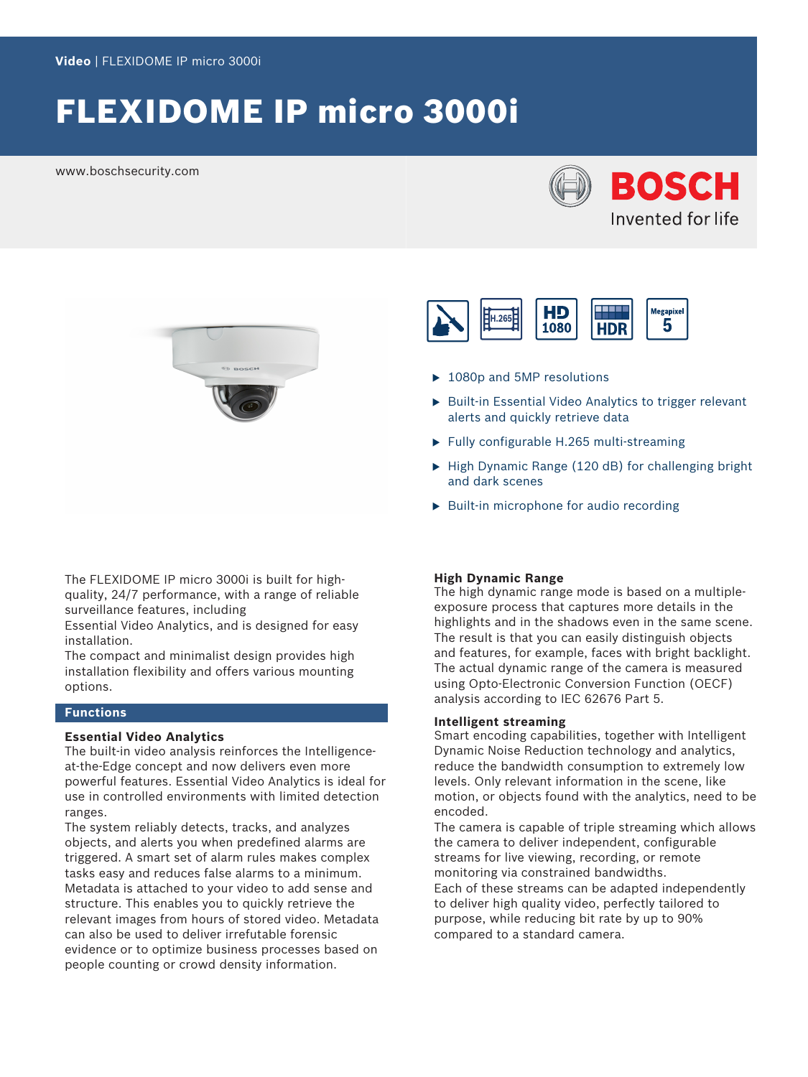# FLEXIDOME IP micro 3000i

www.boschsecurity.com





The FLEXIDOME IP micro 3000i is built for highquality, 24/7 performance, with a range of reliable surveillance features, including

Essential Video Analytics, and is designed for easy installation.

The compact and minimalist design provides high installation flexibility and offers various mounting options.

#### **Functions**

#### **Essential Video Analytics**

The built-in video analysis reinforces the Intelligenceat-the-Edge concept and now delivers even more powerful features. Essential Video Analytics is ideal for use in controlled environments with limited detection ranges.

The system reliably detects, tracks, and analyzes objects, and alerts you when predefined alarms are triggered. A smart set of alarm rules makes complex tasks easy and reduces false alarms to a minimum. Metadata is attached to your video to add sense and structure. This enables you to quickly retrieve the relevant images from hours of stored video. Metadata can also be used to deliver irrefutable forensic evidence or to optimize business processes based on people counting or crowd density information.



- $\blacktriangleright$  1080p and 5MP resolutions
- $\triangleright$  Built-in Essential Video Analytics to trigger relevant alerts and quickly retrieve data
- $\blacktriangleright$  Fully configurable H.265 multi-streaming
- $\blacktriangleright$  High Dynamic Range (120 dB) for challenging bright and dark scenes
- $\triangleright$  Built-in microphone for audio recording

#### **High Dynamic Range**

The high dynamic range mode is based on a multipleexposure process that captures more details in the highlights and in the shadows even in the same scene. The result is that you can easily distinguish objects and features, for example, faces with bright backlight. The actual dynamic range of the camera is measured using Opto-Electronic Conversion Function (OECF) analysis according to IEC 62676 Part 5.

#### **Intelligent streaming**

Smart encoding capabilities, together with Intelligent Dynamic Noise Reduction technology and analytics, reduce the bandwidth consumption to extremely low levels. Only relevant information in the scene, like motion, or objects found with the analytics, need to be encoded.

The camera is capable of triple streaming which allows the camera to deliver independent, configurable streams for live viewing, recording, or remote monitoring via constrained bandwidths. Each of these streams can be adapted independently to deliver high quality video, perfectly tailored to purpose, while reducing bit rate by up to 90% compared to a standard camera.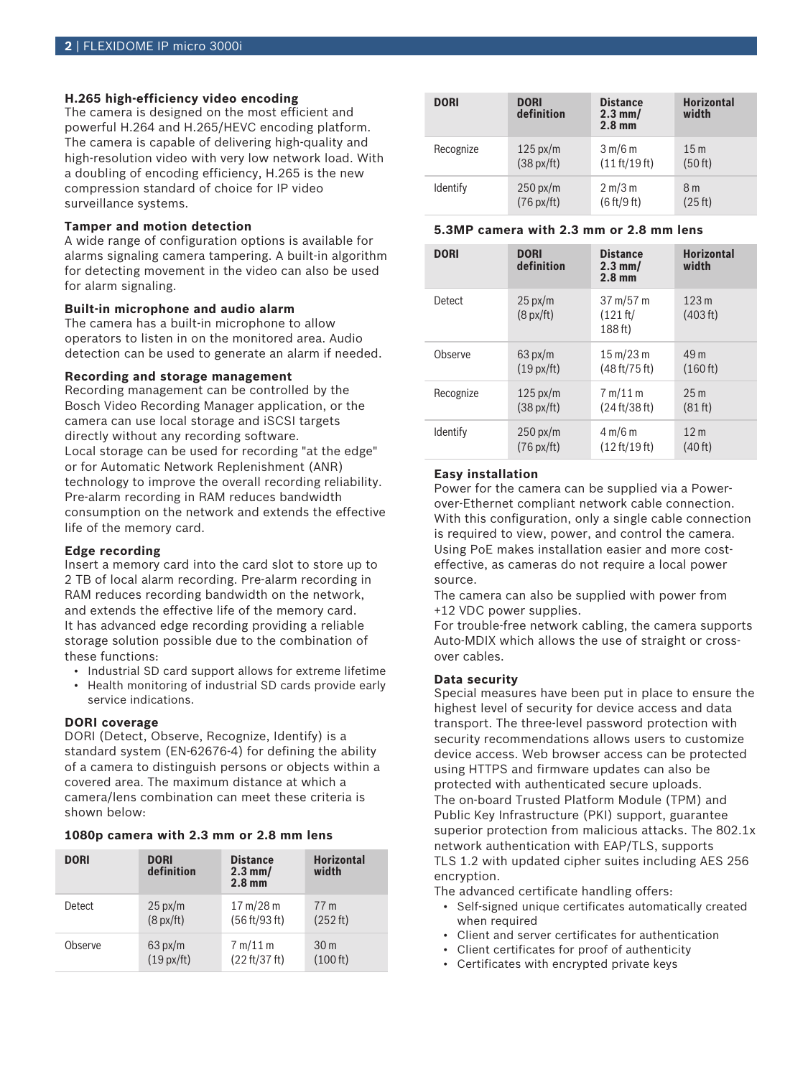#### **H.265 high-efficiency video encoding**

The camera is designed on the most efficient and powerful H.264 and H.265/HEVC encoding platform. The camera is capable of delivering high-quality and high-resolution video with very low network load. With a doubling of encoding efficiency, H.265 is the new compression standard of choice for IP video surveillance systems.

#### **Tamper and motion detection**

A wide range of configuration options is available for alarms signaling camera tampering. A built-in algorithm for detecting movement in the video can also be used for alarm signaling.

#### **Built-in microphone and audio alarm**

The camera has a built-in microphone to allow operators to listen in on the monitored area. Audio detection can be used to generate an alarm if needed.

#### **Recording and storage management**

Recording management can be controlled by the Bosch Video Recording Manager application, or the camera can use local storage and iSCSI targets directly without any recording software. Local storage can be used for recording "at the edge" or for Automatic Network Replenishment (ANR) technology to improve the overall recording reliability. Pre-alarm recording in RAM reduces bandwidth consumption on the network and extends the effective life of the memory card.

#### **Edge recording**

Insert a memory card into the card slot to store up to 2 TB of local alarm recording. Pre-alarm recording in RAM reduces recording bandwidth on the network, and extends the effective life of the memory card. It has advanced edge recording providing a reliable storage solution possible due to the combination of these functions:

- Industrial SD card support allows for extreme lifetime
- Health monitoring of industrial SD cards provide early service indications.

#### **DORI coverage**

DORI (Detect, Observe, Recognize, Identify) is a standard system (EN-62676-4) for defining the ability of a camera to distinguish persons or objects within a covered area. The maximum distance at which a camera/lens combination can meet these criteria is shown below:

#### **1080p camera with 2.3 mm or 2.8 mm lens**

| <b>DORI</b> | <b>DORI</b><br>definition | <b>Distance</b><br>$2.3$ mm/<br>$2.8$ mm | <b>Horizontal</b><br>width |
|-------------|---------------------------|------------------------------------------|----------------------------|
| Detect      | $25 \text{ px/m}$         | $17 \text{ m}/28 \text{ m}$              | 77 m                       |
|             | $(8 \text{ px/ft})$       | (56 ft/93 ft)                            | (252 ft)                   |
| Observe     | $63 \text{ px/m}$         | 7 m/11 m                                 | 30 <sub>m</sub>            |
|             | (19px/ft)                 | (22 ft/37 ft)                            | (100 ft)                   |

| <b>DORI</b> | <b>DORI</b><br>definition | <b>Distance</b><br>$2.3$ mm/<br>2.8 <sub>mm</sub> | <b>Horizontal</b><br>width |
|-------------|---------------------------|---------------------------------------------------|----------------------------|
| Recognize   | $125 \text{ px/m}$        | 3 m/6 m                                           | 15 <sub>m</sub>            |
|             | $(38 \text{ px/ft})$      | (11 ft/19 ft)                                     | (50 ft)                    |
| Identify    | $250 \text{ px/m}$        | 2 m/3 m                                           | 8 <sub>m</sub>             |
|             | $(76 \text{ px/ft})$      | (6 ft/9 ft)                                       | (25 ft)                    |

#### **5.3MP camera with 2.3 mm or 2.8 mm lens**

| <b>DORI</b> | <b>DORI</b><br>definition                | <b>Distance</b><br>$2.3$ mm/<br>2.8 <sub>mm</sub>  | <b>Horizontal</b><br>width   |
|-------------|------------------------------------------|----------------------------------------------------|------------------------------|
| Detect      | $25 \text{ px/m}$<br>$(8 \text{ px/ft})$ | $37 \text{ m}/57 \text{ m}$<br>(121 ft/<br>188 ft) | 123 <sub>m</sub><br>(403 ft) |
| Observe     | $63 \text{ px/m}$                        | $15 \,\mathrm{m}/23 \,\mathrm{m}$                  | 49 m                         |
|             | (19px/ft)                                | (48 ft/75 ft)                                      | (160 ft)                     |
| Recognize   | $125 \text{ px/m}$                       | 7 m/11 m                                           | 25 <sub>m</sub>              |
|             | $(38 \text{ px/ft})$                     | (24 ft/38 ft)                                      | (81 ft)                      |
| Identify    | $250 \text{ px/m}$                       | 4 m/6 m                                            | 12 <sub>m</sub>              |
|             | $(76 \text{ px/ft})$                     | (12 ft/19 ft)                                      | (40 ft)                      |

#### **Easy installation**

Power for the camera can be supplied via a Powerover-Ethernet compliant network cable connection. With this configuration, only a single cable connection is required to view, power, and control the camera. Using PoE makes installation easier and more costeffective, as cameras do not require a local power source.

The camera can also be supplied with power from +12 VDC power supplies.

For trouble-free network cabling, the camera supports Auto-MDIX which allows the use of straight or crossover cables.

#### **Data security**

Special measures have been put in place to ensure the highest level of security for device access and data transport. The three-level password protection with security recommendations allows users to customize device access. Web browser access can be protected using HTTPS and firmware updates can also be protected with authenticated secure uploads. The on-board Trusted Platform Module (TPM) and Public Key Infrastructure (PKI) support, guarantee superior protection from malicious attacks. The 802.1x network authentication with EAP/TLS, supports TLS 1.2 with updated cipher suites including AES 256 encryption.

The advanced certificate handling offers:

- Self-signed unique certificates automatically created when required
- Client and server certificates for authentication
- Client certificates for proof of authenticity
- Certificates with encrypted private keys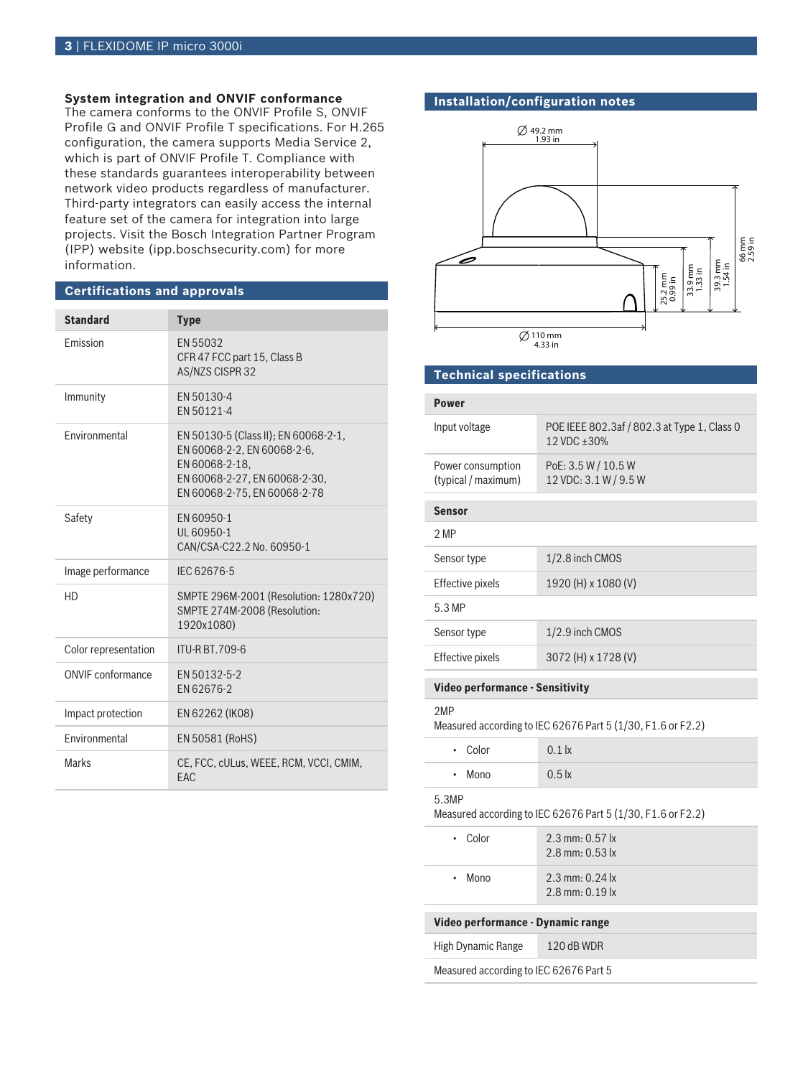### **System integration and ONVIF conformance**

The camera conforms to the ONVIF Profile S, ONVIF Profile G and ONVIF Profile T specifications. For H.265 configuration, the camera supports Media Service 2, which is part of ONVIF Profile T. Compliance with these standards guarantees interoperability between network video products regardless of manufacturer. Third-party integrators can easily access the internal feature set of the camera for integration into large projects. Visit the Bosch Integration Partner Program (IPP) website (ipp.boschsecurity.com) for more information.

#### **Certifications and approvals**

| <b>Standard</b>          | <b>Type</b>                                                                                                                                            |
|--------------------------|--------------------------------------------------------------------------------------------------------------------------------------------------------|
| <b>Fmission</b>          | EN 55032<br>CFR 47 FCC part 15, Class B<br>AS/NZS CISPR 32                                                                                             |
| Immunity                 | EN 50130-4<br>FN 50121-4                                                                                                                               |
| Fnvironmental            | EN 50130-5 (Class II); EN 60068-2-1,<br>EN 60068-2-2, EN 60068-2-6,<br>EN 60068-2-18,<br>EN 60068-2-27, EN 60068-2-30,<br>EN 60068-2-75, EN 60068-2-78 |
| Safety                   | EN 60950-1<br>UL 60950-1<br>CAN/CSA-C22.2 No. 60950-1                                                                                                  |
| Image performance        | IEC 62676-5                                                                                                                                            |
| HD                       | SMPTE 296M-2001 (Resolution: 1280x720)<br>SMPTE 274M-2008 (Resolution:<br>1920x1080)                                                                   |
| Color representation     | <b>ITU-R BT.709-6</b>                                                                                                                                  |
| <b>ONVIF</b> conformance | FN 50132-5-2<br>FN 62676-2                                                                                                                             |
| Impact protection        | EN 62262 (IK08)                                                                                                                                        |
| Environmental            | EN 50581 (RoHS)                                                                                                                                        |
| <b>Marks</b>             | CE, FCC, cULus, WEEE, RCM, VCCI, CMIM,<br>FAC                                                                                                          |

#### **Installation/configuration notes**



#### **Technical specifications**

#### **Power**

| Input voltage       | POE IEEE 802.3af / 802.3 at Type 1, Class 0<br>12 VDC ± 30% |
|---------------------|-------------------------------------------------------------|
| Power consumption   | PoE: 3.5 W / 10.5 W                                         |
| (typical / maximum) | 12 VDC: 3.1 W / 9.5 W                                       |

#### **Sensor**  $2.10$

| ∕ MP             |                     |
|------------------|---------------------|
| Sensor type      | $1/2.8$ inch CMOS   |
| Effective pixels | 1920 (H) x 1080 (V) |
| 5.3 MP           |                     |
| Sensor type      | $1/2.9$ inch CMOS   |
| Effective pixels | 3072 (H) x 1728 (V) |

#### **Video performance - Sensitivity**

#### 2MP

Measured according to IEC 62676 Part 5 (1/30, F1.6 or F2.2)

| • Color      | $0.1$ $\vert x \vert$ |
|--------------|-----------------------|
| $\cdot$ Mono | 0.5k                  |

#### 5.3MP

Measured according to IEC 62676 Part 5 (1/30, F1.6 or F2.2)

| $\cdot$ Color                          | $2.3$ mm: 0.57 lx<br>$2.8$ mm: 0.53 lx       |
|----------------------------------------|----------------------------------------------|
| $\cdot$ Mono                           | $2.3$ mm: 0.24 $\alpha$<br>$2.8$ mm: 0.19 lx |
| Video performance - Dynamic range      |                                              |
|                                        |                                              |
| High Dynamic Range                     | $120$ dB WDR                                 |
| Measured according to IEC 62676 Part 5 |                                              |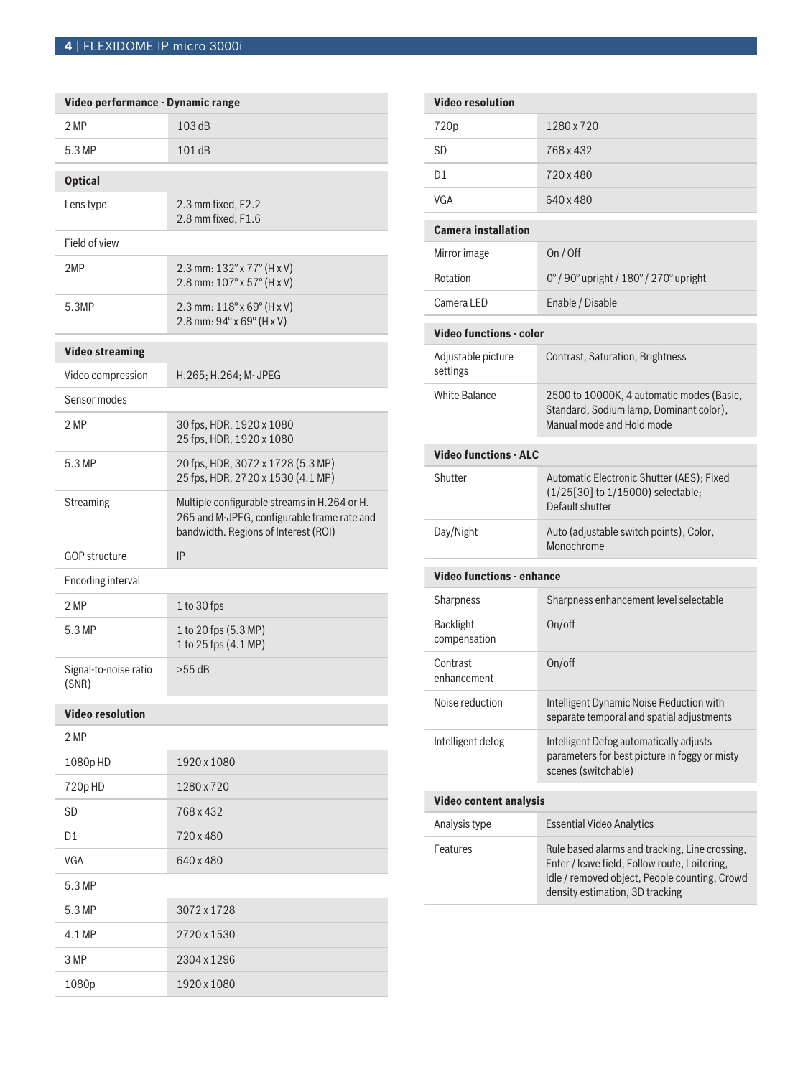## **4** | FLEXIDOME IP micro 3000i

| Video performance - Dynamic range |                                                                                                                                     |
|-----------------------------------|-------------------------------------------------------------------------------------------------------------------------------------|
| 2 MP                              | 103 dB                                                                                                                              |
| 5.3 MP                            | 101 dB                                                                                                                              |
| <b>Optical</b>                    |                                                                                                                                     |
| Lens type                         | 2.3 mm fixed, F2.2<br>2.8 mm fixed, F1.6                                                                                            |
| Field of view                     |                                                                                                                                     |
| 2MP                               | 2.3 mm: 132° x 77° (H x V)<br>2.8 mm: 107° x 57° (H x V)                                                                            |
| 5.3MP                             | 2.3 mm: 118° x 69° (H x V)<br>2.8 mm: 94° x 69° (H x V)                                                                             |
| <b>Video streaming</b>            |                                                                                                                                     |
| Video compression                 | H.265; H.264; M-JPEG                                                                                                                |
| Sensor modes                      |                                                                                                                                     |
| 2 MP                              | 30 fps, HDR, 1920 x 1080<br>25 fps, HDR, 1920 x 1080                                                                                |
| 5.3 MP                            | 20 fps, HDR, 3072 x 1728 (5.3 MP)<br>25 fps, HDR, 2720 x 1530 (4.1 MP)                                                              |
| Streaming                         | Multiple configurable streams in H.264 or H.<br>265 and M-JPEG, configurable frame rate and<br>bandwidth. Regions of Interest (ROI) |
|                                   |                                                                                                                                     |
| <b>GOP structure</b>              | IP                                                                                                                                  |
| Encoding interval                 |                                                                                                                                     |
| 2 MP                              | 1 to 30 fps                                                                                                                         |
| 5.3 MP                            | 1 to 20 fps (5.3 MP)<br>1 to 25 fps (4.1 MP)                                                                                        |
| Signal-to-noise ratio<br>(SNR)    | $>55$ dB                                                                                                                            |
| <b>Video resolution</b>           |                                                                                                                                     |
| 2 MP                              |                                                                                                                                     |
| 1080p HD                          | 1920 x 1080                                                                                                                         |
| 720pHD                            | 1280 x 720                                                                                                                          |
| SD                                | 768 x 432                                                                                                                           |
| D1                                | 720 x 480                                                                                                                           |
| <b>VGA</b>                        | 640 x 480                                                                                                                           |
| 5.3 MP                            |                                                                                                                                     |
| 5.3 MP                            | 3072 x 1728                                                                                                                         |
| 4.1 MP                            | 2720 x 1530                                                                                                                         |
| 3 MP                              | 2304 x 1296                                                                                                                         |

| <b>Video resolution</b>          |                                                                                                                   |
|----------------------------------|-------------------------------------------------------------------------------------------------------------------|
| 720p                             | 1280 x 720                                                                                                        |
| SD                               | 768 x 432                                                                                                         |
| D1                               | 720 x 480                                                                                                         |
| VGA                              | 640 x 480                                                                                                         |
| <b>Camera installation</b>       |                                                                                                                   |
| Mirror image                     | On / Off                                                                                                          |
| Rotation                         | 0°/90° upright / 180°/270° upright                                                                                |
| Camera LED                       | Enable / Disable                                                                                                  |
| Video functions - color          |                                                                                                                   |
| Adjustable picture<br>settings   | <b>Contrast, Saturation, Brightness</b>                                                                           |
| <b>White Balance</b>             | 2500 to 10000K, 4 automatic modes (Basic,<br>Standard, Sodium lamp, Dominant color),<br>Manual mode and Hold mode |
| <b>Video functions - ALC</b>     |                                                                                                                   |
| Shutter                          | Automatic Electronic Shutter (AES): Fixed<br>(1/25[30] to 1/15000) selectable;<br>Default shutter                 |
| Day/Night                        | Auto (adjustable switch points), Color,<br>Monochrome                                                             |
| <b>Video functions - enhance</b> |                                                                                                                   |
| Sharpness                        | Sharpness enhancement level selectable                                                                            |
| <b>Backlight</b><br>compensation | On/off                                                                                                            |
| Contrast<br>enhancement          | On/off                                                                                                            |
| Noise reduction                  | Intelligent Dynamic Noise Reduction with<br>separate temporal and spatial adjustments                             |
| Intelligent defog                | Intelligent Defog automatically adjusts<br>parameters for best picture in foggy or misty<br>scenes (switchable)   |
| Video content analysis           |                                                                                                                   |
| Analysis type                    | <b>Essential Video Analytics</b>                                                                                  |
| Features                         | Rule based alarms and tracking, Line crossing,<br>Enter / leave field, Follow route, Loitering,                   |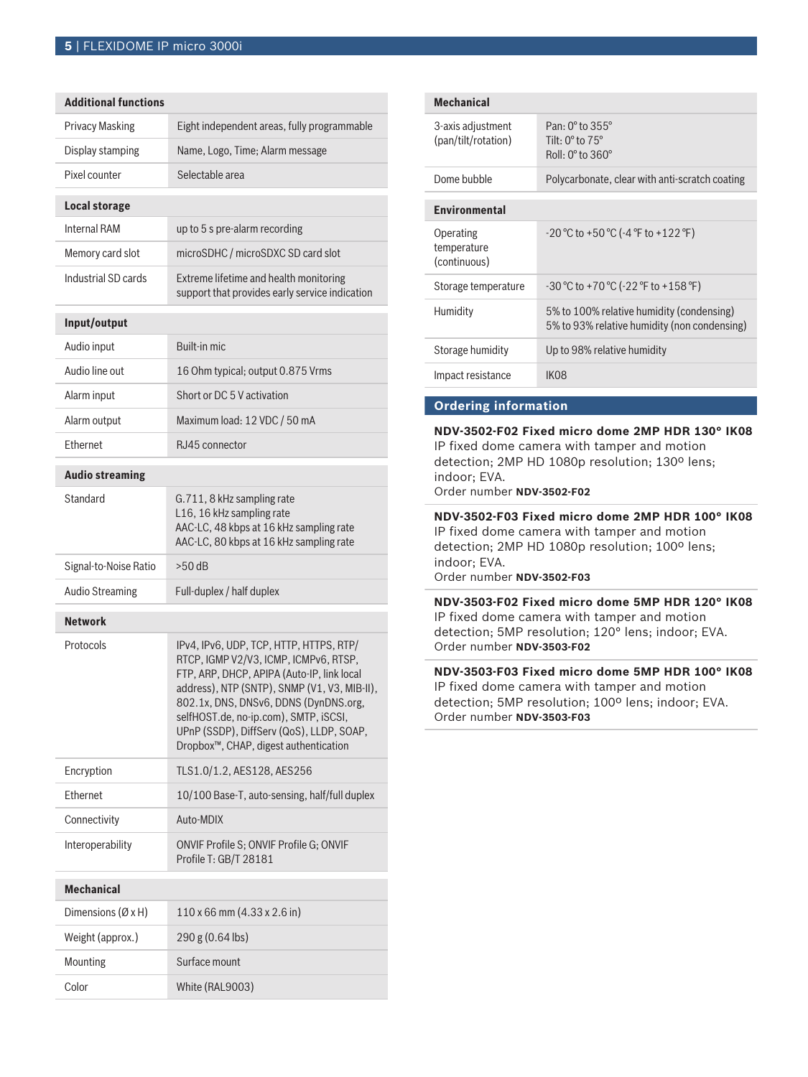| <b>Additional functions</b> |                                                                                                                                                                                                                                                                                                                                                                    |
|-----------------------------|--------------------------------------------------------------------------------------------------------------------------------------------------------------------------------------------------------------------------------------------------------------------------------------------------------------------------------------------------------------------|
| <b>Privacy Masking</b>      | Eight independent areas, fully programmable                                                                                                                                                                                                                                                                                                                        |
| Display stamping            | Name, Logo, Time; Alarm message                                                                                                                                                                                                                                                                                                                                    |
| Pixel counter               | Selectable area                                                                                                                                                                                                                                                                                                                                                    |
| <b>Local storage</b>        |                                                                                                                                                                                                                                                                                                                                                                    |
| <b>Internal RAM</b>         | up to 5 s pre-alarm recording                                                                                                                                                                                                                                                                                                                                      |
| Memory card slot            | microSDHC / microSDXC SD card slot                                                                                                                                                                                                                                                                                                                                 |
| Industrial SD cards         | Extreme lifetime and health monitoring<br>support that provides early service indication                                                                                                                                                                                                                                                                           |
| Input/output                |                                                                                                                                                                                                                                                                                                                                                                    |
| Audio input                 | Built-in mic                                                                                                                                                                                                                                                                                                                                                       |
| Audio line out              | 16 Ohm typical; output 0.875 Vrms                                                                                                                                                                                                                                                                                                                                  |
| Alarm input                 | Short or DC 5 V activation                                                                                                                                                                                                                                                                                                                                         |
| Alarm output                | Maximum load: 12 VDC / 50 mA                                                                                                                                                                                                                                                                                                                                       |
| Ethernet                    | RJ45 connector                                                                                                                                                                                                                                                                                                                                                     |
| <b>Audio streaming</b>      |                                                                                                                                                                                                                                                                                                                                                                    |
| Standard                    | G.711, 8 kHz sampling rate<br>L16, 16 kHz sampling rate<br>AAC-LC, 48 kbps at 16 kHz sampling rate<br>AAC-LC, 80 kbps at 16 kHz sampling rate                                                                                                                                                                                                                      |
| Signal-to-Noise Ratio       | $>50$ dB                                                                                                                                                                                                                                                                                                                                                           |
| <b>Audio Streaming</b>      | Full-duplex / half duplex                                                                                                                                                                                                                                                                                                                                          |
| <b>Network</b>              |                                                                                                                                                                                                                                                                                                                                                                    |
| Protocols                   | IPv4, IPv6, UDP, TCP, HTTP, HTTPS, RTP/<br>RTCP, IGMP V2/V3, ICMP, ICMPv6, RTSP,<br>FTP, ARP, DHCP, APIPA (Auto-IP, link local<br>address), NTP (SNTP), SNMP (V1, V3, MIB-II),<br>802.1x, DNS, DNSv6, DDNS (DynDNS.org,<br>selfHOST.de, no-ip.com), SMTP, iSCSI,<br>UPnP (SSDP), DiffServ (QoS), LLDP, SOAP,<br>Dropbox <sup>™</sup> , CHAP, digest authentication |
| Encryption                  | TLS1.0/1.2, AES128, AES256                                                                                                                                                                                                                                                                                                                                         |
| Ethernet                    | 10/100 Base-T, auto-sensing, half/full duplex                                                                                                                                                                                                                                                                                                                      |
| Connectivity                | Auto-MDIX                                                                                                                                                                                                                                                                                                                                                          |
| Interoperability            | ONVIF Profile S; ONVIF Profile G; ONVIF<br>Profile T: GB/T 28181                                                                                                                                                                                                                                                                                                   |
| <b>Mechanical</b>           |                                                                                                                                                                                                                                                                                                                                                                    |
| Dimensions $(\emptyset xH)$ | 110 x 66 mm (4.33 x 2.6 in)                                                                                                                                                                                                                                                                                                                                        |
|                             |                                                                                                                                                                                                                                                                                                                                                                    |
| Weight (approx.)            | 290 g (0.64 lbs)                                                                                                                                                                                                                                                                                                                                                   |
| Mounting                    | Surface mount                                                                                                                                                                                                                                                                                                                                                      |

| <b>Mechanical</b>                        |                                                                                                          |  |
|------------------------------------------|----------------------------------------------------------------------------------------------------------|--|
| 3-axis adjustment<br>(pan/tilt/rotation) | Pan: $0^{\circ}$ to $355^{\circ}$<br>Tilt: $0^\circ$ to $75^\circ$<br>$Roll: 0^{\circ}$ to $360^{\circ}$ |  |
| Dome bubble                              | Polycarbonate, clear with anti-scratch coating                                                           |  |
| <b>Environmental</b>                     |                                                                                                          |  |
| Operating<br>temperature<br>(continuous) | $-20\degree$ C to $+50\degree$ C ( $-4\degree$ F to $+122\degree$ F)                                     |  |
| Storage temperature                      | -30 °C to +70 °C (-22 °F to +158 °F)                                                                     |  |
| Humidity                                 | 5% to 100% relative humidity (condensing)<br>5% to 93% relative humidity (non condensing)                |  |
| Storage humidity                         | Up to 98% relative humidity                                                                              |  |
| Impact resistance                        | IK08                                                                                                     |  |
|                                          |                                                                                                          |  |

### **Ordering information**

**NDV-3502-F02 Fixed micro dome 2MP HDR 130° IK08** IP fixed dome camera with tamper and motion detection; 2MP HD 1080p resolution; 130º lens; indoor; EVA. Order number **NDV-3502-F02**

# **NDV-3502-F03 Fixed micro dome 2MP HDR 100° IK08**

IP fixed dome camera with tamper and motion detection; 2MP HD 1080p resolution; 100º lens; indoor; EVA.

Order number **NDV-3502-F03**

**NDV-3503-F02 Fixed micro dome 5MP HDR 120° IK08** IP fixed dome camera with tamper and motion detection; 5MP resolution; 120° lens; indoor; EVA. Order number **NDV-3503-F02**

**NDV-3503-F03 Fixed micro dome 5MP HDR 100° IK08** IP fixed dome camera with tamper and motion detection; 5MP resolution; 100º lens; indoor; EVA. Order number **NDV-3503-F03**